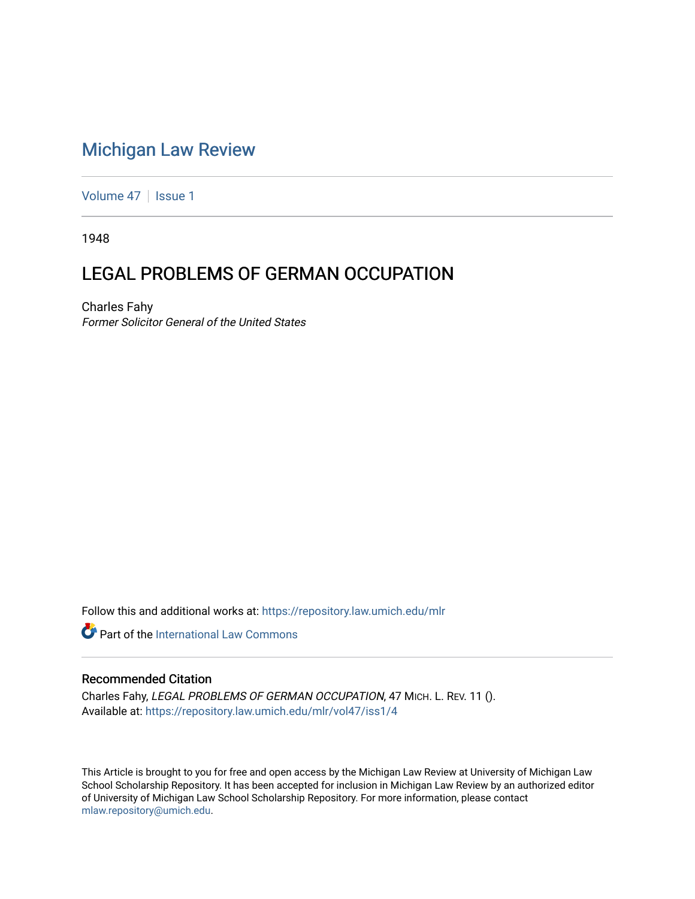# [Michigan Law Review](https://repository.law.umich.edu/mlr)

[Volume 47](https://repository.law.umich.edu/mlr/vol47) | [Issue 1](https://repository.law.umich.edu/mlr/vol47/iss1)

1948

## LEGAL PROBLEMS OF GERMAN OCCUPATION

Charles Fahy Former Solicitor General of the United States

Follow this and additional works at: [https://repository.law.umich.edu/mlr](https://repository.law.umich.edu/mlr?utm_source=repository.law.umich.edu%2Fmlr%2Fvol47%2Fiss1%2F4&utm_medium=PDF&utm_campaign=PDFCoverPages) 

**Part of the International Law Commons** 

## Recommended Citation

Charles Fahy, LEGAL PROBLEMS OF GERMAN OCCUPATION, 47 MICH. L. REV. 11 (). Available at: [https://repository.law.umich.edu/mlr/vol47/iss1/4](https://repository.law.umich.edu/mlr/vol47/iss1/4?utm_source=repository.law.umich.edu%2Fmlr%2Fvol47%2Fiss1%2F4&utm_medium=PDF&utm_campaign=PDFCoverPages)

This Article is brought to you for free and open access by the Michigan Law Review at University of Michigan Law School Scholarship Repository. It has been accepted for inclusion in Michigan Law Review by an authorized editor of University of Michigan Law School Scholarship Repository. For more information, please contact [mlaw.repository@umich.edu.](mailto:mlaw.repository@umich.edu)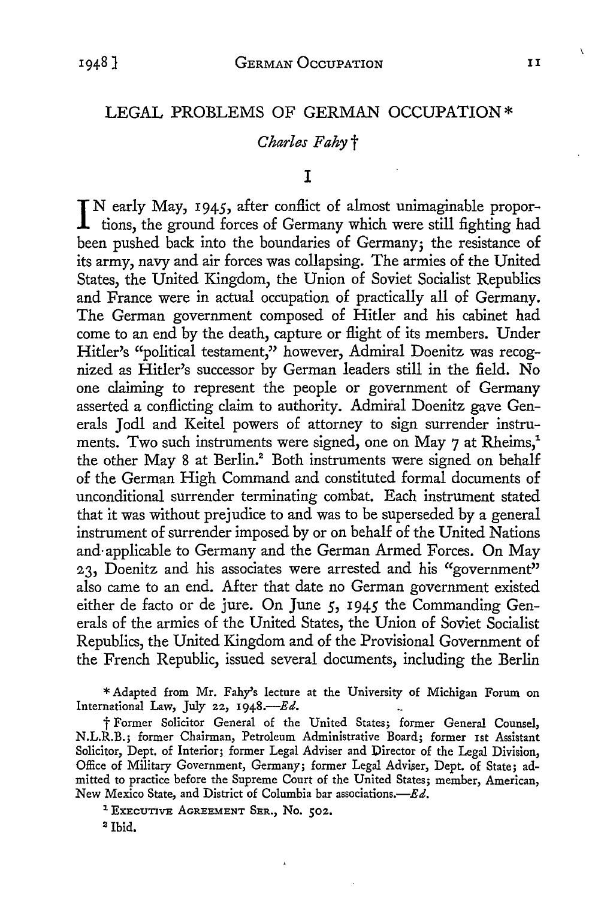### LEGAL PROBLEMS OF GERMAN OCCUPATION\*

## *Charles* Fahyt

#### I

IN early May, 1945, after conflict of almost unimaginable propor-<br>tions, the ground forces of Germany which were still fighting had tions, the ground forces of Germany which were still fighting had been pushed back into the boundaries of Germany; the resistance of its army, navy and air forces was collapsing. The armies of the United States, the United Kingdom, the Union of Soviet Socialist Republics and France were in actual occupation of practically all of Germany. The German government composed of Hitler and his cabinet had come to an end by the death, capture or flight of its members. Under Hitler's "political testament," however, Admiral Doenitz was recognized as Hitler's successor by German leaders still in the field. No one claiming to represent the people or government of Germany asserted a conflicting claim to authority. Admiral Doenitz gave Generals Iodl and Keitel powers of attorney to sign surrender instruments. Two such instruments were signed, one on May 7 at Rheims,<sup>1</sup> the other May 8 at Berlin.<sup>2</sup> Both instruments were signed on behalf of the German High Command and constituted formal documents of unconditional surrender terminating combat. Each instrument stated that it was without prejudice to and was to be superseded by a general instrument of surrender imposed by or on behalf of the United Nations and· applicable to Germany and the German Armed Forces. On May 23, Doenitz and his associates were arrested and his "government" also came to an end. After that date no German government existed either de facto or de jure. On June *5,* 1945 the Commanding Generals of the armies of the United States, the Union of Soviet Socialist Republics, the United Kingdom and of the Provisional Government of the French Republic, issued several documents, including the Berlin

\* Adapted from Mr. Fahy's lecture at the University of Michigan Forum on International Law, July 22, 1948 .- Ed.

t Former Solicitor General of the United States; former General Counsel, N.L.R.B.; former Chairman, Petroleum Administrative Board; former 1st Assistant Solicitor, Dept. of Interior; former Legal Adviser and Director of the Legal Division, Office of Military Government, Germany; former Legal Adviser, Dept. of State; admitted to practice before the Supreme Court of the United States; member, American, New Mexico State, and District of Columbia bar associations.--- $Ed$ .

<sup>1</sup> EXECUTIVE AGREEMENT SER., No. 502.

2 lbid.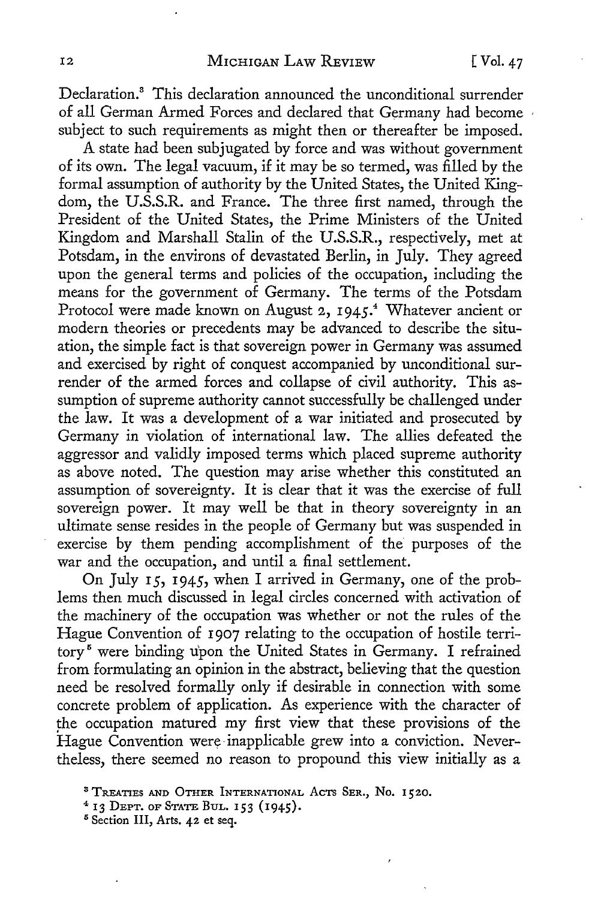Declaration.<sup>3</sup> This declaration announced the unconditional surrender of all German Armed Forces and declared that Germany had become subject to such requirements as might then or thereafter be imposed.

A state had been subjugated by force and was without government of its own. The legal vacuum, if it may be so termed, was filled by the formal assumption of authority by the United States, the United Kingdom, the U.S.S.R. and France. The three first named, through the President of the United States, the Prime Ministers of the United Kingdom and Marshall Stalin of the U.S.S.R., respectively, met at Potsdam, in the environs of devastated Berlin, in July. They agreed upon the general terms and policies of the occupation, including the means for the government of Germany. The terms of the Potsdam Protocol were made known on August 2, 1945.<sup>4</sup> Whatever ancient or modern theories or precedents may be advanced to describe the situation, the simple fact is that sovereign power in Germany was assumed and exercised by right of conquest accompanied by unconditional surrender of the armed forces and collapse of civil authority. This assumption of supreme authority cannot successfully be challenged under the law. It was a development of a war initiated and prosecuted by Germany in violation of international law. The allies defeated the aggressor and validly imposed terms which placed supreme authority as above noted. The question may arise whether this constituted an assumption of sovereignty. It is clear that it was the exercise of full sovereign power. It may well be that in theory sovereignty in an ultimate sense resides in the people of Germany but was suspended in exercise by them pending accomplishment of the purposes of the war and the occupation, and until a final settlement.

On July 15, 1945, when I arrived in Germany, one of the problems then much discussed in legal circles concerned with activation of the machinery of the occupation was whether or not the rules of the Hague Convention of 1907 relating to the occupation of hostile territory<sup>5</sup> were binding upon the United States in Germany. I refrained from formulating an opinion in the abstract, believing that the question need be resolved formally only if desirable in connection with some concrete problem of application. As experience with the character of the occupation matured my first view that these provisions of the Hague Convention were inapplicable grew into a conviction. Nevertheless, there seemed no reason to propound this view initially as a

<sup>&</sup>lt;sup>3</sup> TREATIES AND OTHER INTERNATIONAL ACTS SER., No. 1520.<br><sup>4</sup> 13 DEPT. OF STATE BUL. 153 (1945).

<sup>5</sup> Section III, Arts. 42 et seq.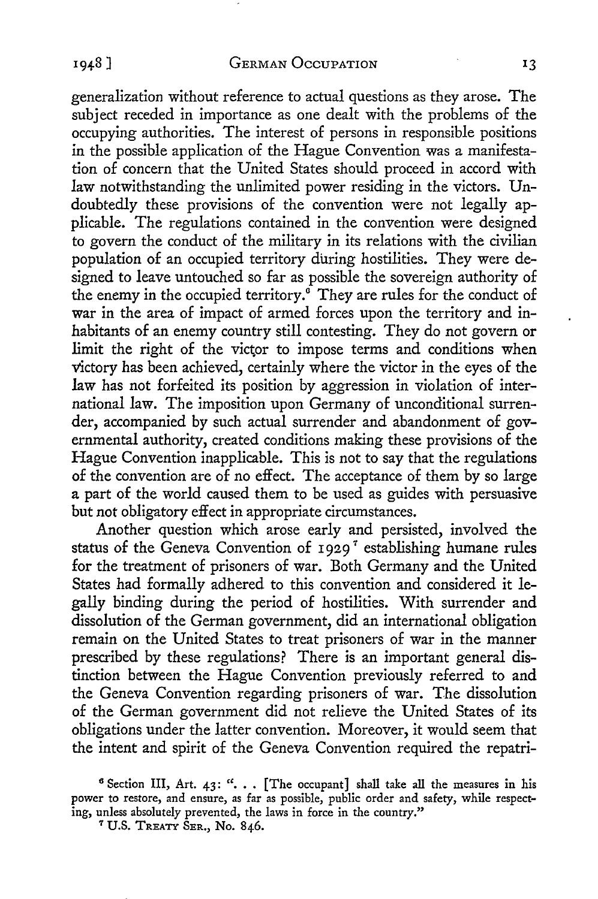generalization without reference to actual questions as they arose. The subject receded in importance as one dealt with the problems of the occupying authorities. The interest of persons in responsible positions in the possible application of the Hague Convention was a manifestation of concern that the United States should proceed in accord with law notwithstanding the unlimited power residing in the victors. Undoubtedly these provisions of the convention were not legally applicable. The regulations contained in the convention were designed to govern the conduct of the military in its relations with the civilian population of an occupied territory during hostilities. They were designed to leave untouched so far as possible the sovereign authority of the enemy in the occupied territory. $\overset{\circ}{\circ}$  They are rules for the conduct of war in the area of impact of armed forces upon the territory and inhabitants of an enemy country still contesting. They do not govern or limit the right of the victor to impose terms and conditions when victory has been achieved, certainly where the victor in the eyes of the law has not forfeited its position by aggression in violation of international law. The imposition upon Germany of unconditional surrender, accompanied by such actual surrender and abandonment of governmental authority, created conditions making these provisions of the Hague Convention inapplicable. This is not to say that the regulations of the convention are of no effect. The acceptance of them by so large a part of the world caused them to be used as guides with persuasive but not obligatory effect in appropriate circumstances.

Another question which arose early and persisted, involved the status of the Geneva Convention of 1929<sup>7</sup> establishing humane rules for the treatment of prisoners of war. Both Germany and the United States had formally adhered to this convention and considered it legally binding during the period of hostilities. With surrender and dissolution of the German government, did an international obligation remain on the United States to treat prisoners of war in the manner prescribed by these regulations? There is an important general distinction between the Hague Convention previously referred to and the Geneva Convention regarding prisoners of war. The dissolution of the German government did not relieve the United States of its obligations under the latter convention. Moreover, it would seem that the intent and spirit of the Geneva Convention required the repatri-

<sup>&</sup>lt;sup>6</sup> Section III, Art. 43: ". . . [The occupant] shall take all the measures in his power to restore, and ensure, as far as possible, public order and safety, while respecting, unless absolutely prevented, the laws in force in the country."

<sup>7</sup> U.S. TREATY SER., No. 846.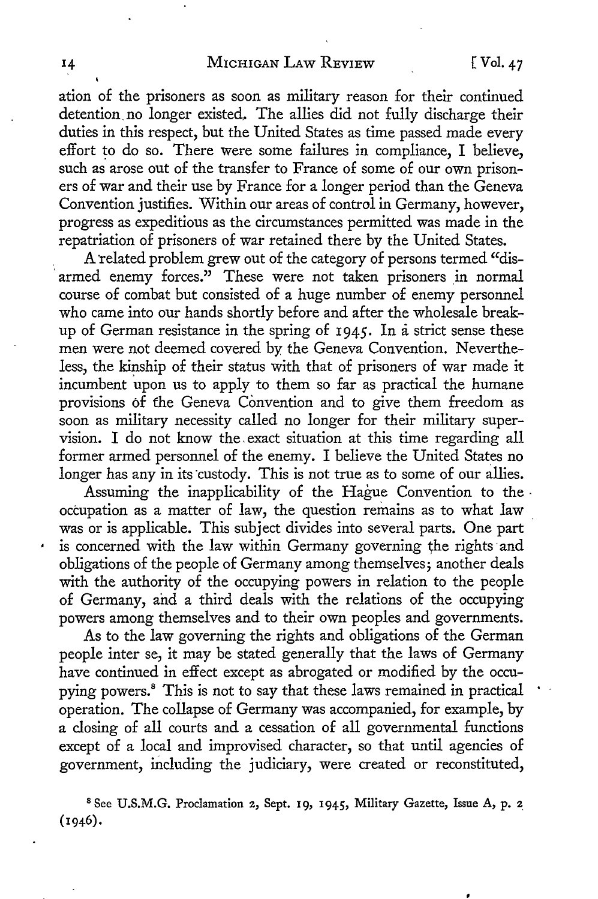ation of the prisoners as soon as military reason for their continued detention no longer existed. The allies did not fully discharge their duties in this respect, but the United States as time passed made every effort to do so. There were some failures in compliance, I believe, such as arose out of the transfer to France of some of our own prisoners of war and their use by France for a longer period than the Geneva Convention justifies. Within our areas of control in Germany, however, progress as expeditious as the circumstances permitted was made in the repatriation of prisoners of war retained there by the United States.

A related problem grew out of the category of persons termed "disarmed enemy forces." These were not taken prisoners in normal course of combat but consisted of a huge number of enemy personnel who came into our hands shortly before and after the wholesale breakup of German resistance in the spring of r945. In a strict sense these men were not deemed covered by the Geneva Convention. Nevertheless, the kinship of their status with that of prisoners of war made it incumbent upon us to apply to them so far as practical the humane provisions of the Geneva Convention and to give them freedom as soon as military necessity called no longer for their military supervision. I do not know the, exact situation at this time regarding all former armed personnel of the enemy. I believe the United States no longer has any in its custody. This is not true as to some of our allies.

Assuming the inapplicability of the Hague Convention to the occupation as a matter of law, the question remains as to what law was or is applicable. This subject divides into several parts. One part is concerned with the law within Germany governing the rights and obligations of the people of Germany among themselves; another deals with the authority of the occupying powers in relation to the people of Germany, and a third deals with the relations of the occupying powers among themselves and to their own peoples and governments.

As to the law governing the rights and obligations of the German people inter se, it may be stated generally that the laws of Germany have continued in effect except as abrogated or modified by the occupying powers.<sup>8</sup> This is not to say that these laws remained in practical operation. The collapse of Germany was accompanied, for example, by a closing of all courts and a cessation of all governmental functions except of a local and improvised character, so that until agencies of government, including the judiciary, were created or reconstituted,

8 See U.S.M.G. Proclamation 2, Sept. 19, 1945, Military Gazette, Issue A, p. 2. (1946).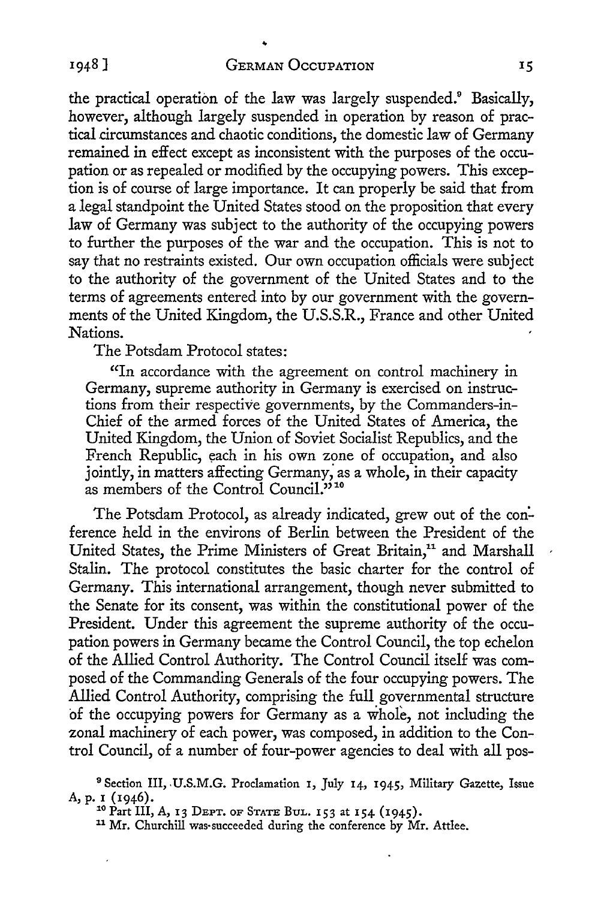..

the practical operation of the law was largely suspended.<sup>9</sup> Basically, however, although largely suspended in operation by reason of practical circumstances and chaotic conditions, the domestic law of Germany remained in effect except as inconsistent with the purposes of the occupation or as repealed or modified by the occupying powers. This exception is of course of large importance. It can properly be said that from a legal standpoint the United States stood on the proposition that every law of Germany was subject to the authority of the occupying powers to further the purposes of the war and the occupation. This is not to say that no restraints existed. Our own occupation officials were subject to the authority of the government of the United States and to the terms of agreements entered into by our government with the governments of the United Kingdom, the U.S.S.R., France and other United Nations.

The Potsdam Protocol states:

"In accordance with the agreement on control machinery in Germany, supreme authority in Germany is exercised on instructions from their respective governments, by the Commanders-in-Chief of the armed forces of the United States of America, the United Kingdom, the Union of Soviet Socialist Republics, and the French Republic, each in his own zone of occupation, and also jointly, in matters affecting Germany; as a whole, in their capacity as members of the Control Council."<sup>510</sup>

The Potsdam Protocol, as already indicated, grew out of the conference held in the environs of Berlin between the President of the United States, the Prime Ministers of Great Britain,<sup>11</sup> and Marshall Stalin. The protocol constitutes the basic charter for the control of Germany. This international arrangement, though never submitted to the Senate for its consent, was within the constitutional power of the President. Under this agreement the supreme authority of the occupation powers in Germany became the Control Council, the top echelon of the Allied Control Authority. The Control Council itself was composed of the Commanding Generals of the four occupying powers. The Allied Control Authority, comprising the full governmental structure of the occupying powers for Germany as a whole, not including the zonal machinery of each power, was composed, in addition to the Control Council, of a number of four-power agencies to deal with all pos-

<sup>&</sup>lt;sup>9</sup> Section III, U.S.M.G. Proclamation 1, July 14, 1945, Military Gazette, Issue A, p. 1 (1946).

<sup>&</sup>lt;sup>10</sup> Part III, A, 13 DEPT. OF STATE BUL. 153 at 154 (1945).<br><sup>11</sup> Mr. Churchill was•succeeded during the conference by Mr. Attlee.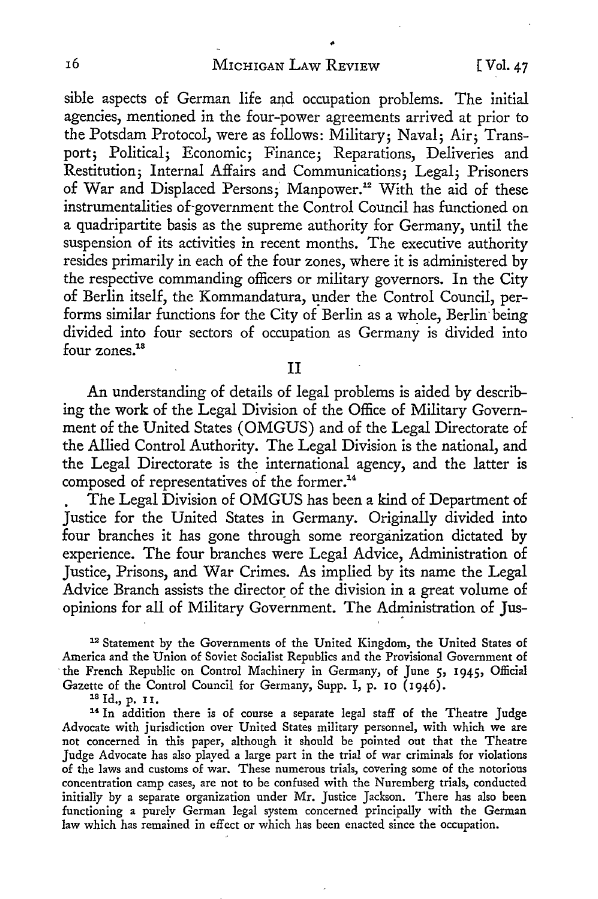sible aspects of German life and occupation problems. The initial agencies, mentioned in the four-power agreements arrived at prior to the Potsdam Protocol, were as follows: Military; Naval; Air; Transport; Political; Economic; Finance; Reparations, Deliveries and Restitution; Internal Affairs and Communications; Legal; Prisoners of War and Displaced Persons; Manpower.<sup>12</sup> With the aid of these instrumentalities of-government the Control Council has functioned on a quadripartite basis as the supreme authority for Germany, until the suspension of its activities in recent months. The executive authority resides primarily in each of the four zones, where it is administered by the respective commanding officers or military governors. In the City of Berlin itself, the Kommandatura, under the Control Council, performs similar functions for the City of Berlin as a whole, Berlin-being divided into four sectors of occupation as Germany is divided into four zones.<sup>18</sup>

II

An understanding of details of legal problems is aided by describing the work of the Legal Division of the Office of Military Government of the United States (OMGUS) and of the Legal Directorate of the Allied Control Authority. The Legal Division is the national, and the Legal Directorate is the international agency, and the latter is composed of representatives of the former.<sup>14</sup>

The Legal Division of OMGUS has been a kind of Department of Justice for the United States in Germany. Originally divided into four branches it has gone through some reorganization dictated by experience. The four branches were Legal Advice, Administration of Justice, Prisons, and War Crimes. As implied by its name the Legal Advice Branch assists the director of the division in a great volume of opinions for all of Military Government. The Administration of Jus-

<sup>12</sup> Statement by the Governments of the United Kingdom, the United States of America and the Union of Soviet Socialist Republics and the Provisional Government of -the French Republic on Control Machinery in Germany, of June *5,* 1945, Official Gazette of the Control Council for Germany, Supp. I, p. 10  $(1946)$ .<br><sup>18</sup> Id., p. 11.

<sup>14</sup> In addition there is of course a separate legal staff of the Theatre Judge Advocate with jurisdiction over United States military personnel, with which we are not concerned in this paper, although it should be pointed out that the Theatre Judge Advocate has also played a large part in the trial of war criminals for violations of the laws and customs of war. These numerous trials, covering some of the notorious concentration camp cases, are not to be confused with the Nuremberg trials, conducted initially by a separate organization under Mr. Justice Jackson. There has also been functioning a purely German legal system concerned principally with the German law which has remained in effect or which has been enacted since the occupation.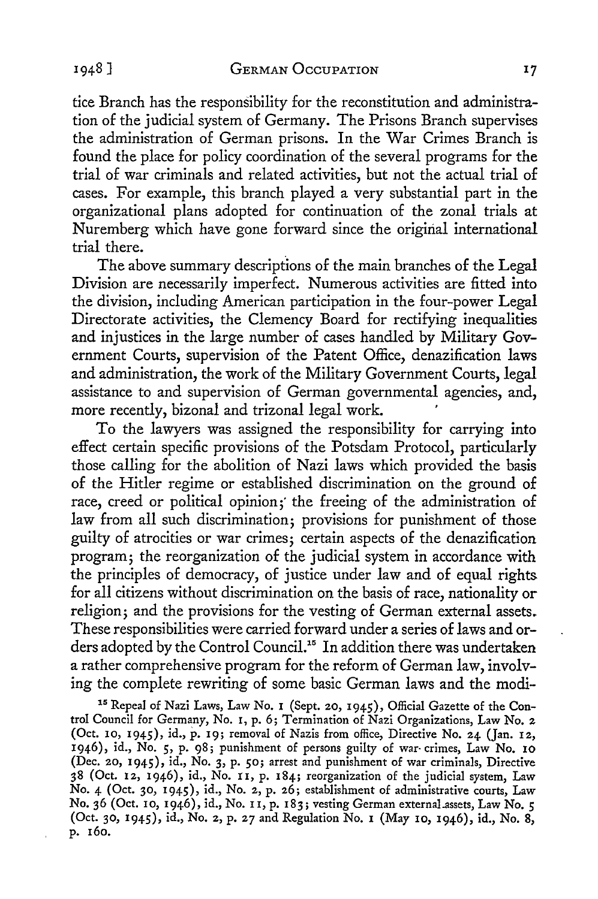tice Branch has the responsibility for the reconstitution and administration of the judicial system of Germany. The Prisons Branch supervises the administration of German prisons. In the War Crimes Branch is found the place for policy coordination of the several programs for the trial of war criminals and related activities, but not the actual trial of cases. For example, this branch played a very substantial part in the organizational plans adopted for continuation of the zonal trials at Nuremberg which have gone forward since the original international trial there.

The above summary descriptions of the main branches of the Legal Division are necessarily imperfect. Numerous activities are fitted into the division, including American participation in the four-power Legal Directorate activities, the Clemency Board for rectifying inequalities and injustices in the large number of cases handled by Military Government Courts, supervision of the Patent Office, denazification laws and administration, the work of the Military Government Courts, legal assistance to and supervision of German governmental agencies, and, more recently, bizonal and trizonal legal work.

To the lawyers was assigned the responsibility for carrying into effect certain specific provisions of the Potsdam Protocol, particularly those calling for the abolition of Nazi laws which provided the basis of the Hitler regime or established discrimination on the ground of race, creed or political opinion; the freeing of the administration of law from all such discrimination; provisions for punishment of those guilty of atrocities or war crimes; certain aspects of the denazification program; the reorganization of the judicial system in accordance with the principles of democracy, of justice under law and of equal rights for all citizens without discrimination on the basis of race, nationality or religion; and the provisions for the vesting of German external assets. These responsibilities were carried forward under a series of laws and orders adopted by the Control Council.<sup>15</sup> In addition there was undertaken a rather comprehensive program for the reform of German law, involving the complete rewriting of some basic German laws and the modi-

15 Repeal of Nazi Laws, Law No. 1 (Sept. 20, 1945), Official Gazette of the Control Council for Germany, No. 1, p. 6; Termination of Nazi Organizations, Law No. *z*  (Oct. 10, 1945), id., p. 19; removal of Nazis from office, Directive No. 24 (Jan. 12, 1946), id., No. *5,* p. 98; punishment of persons guilty of war· crimes, Law No. IO (Dec. 20, 1945), id., No. 3, p. 50; arrest and punishment of war criminals, Directive 38 (Oct. 12, 1946), id., No. II, p. 184; reorganization of the judicial system, Law No. 4 (Oct. 30, 1945), id., No. 2, p. 26; establishment of administrative courts, Law No. 36 (Oct. IO, 1946), id., No. I 1, p. I 83; vesting German external.assets, Law No. *5*  (Oct. 30, 1945), id., No. *z,* p. 27 and Regulation No. I (May IO, 1946), id., No. 8, p. 160.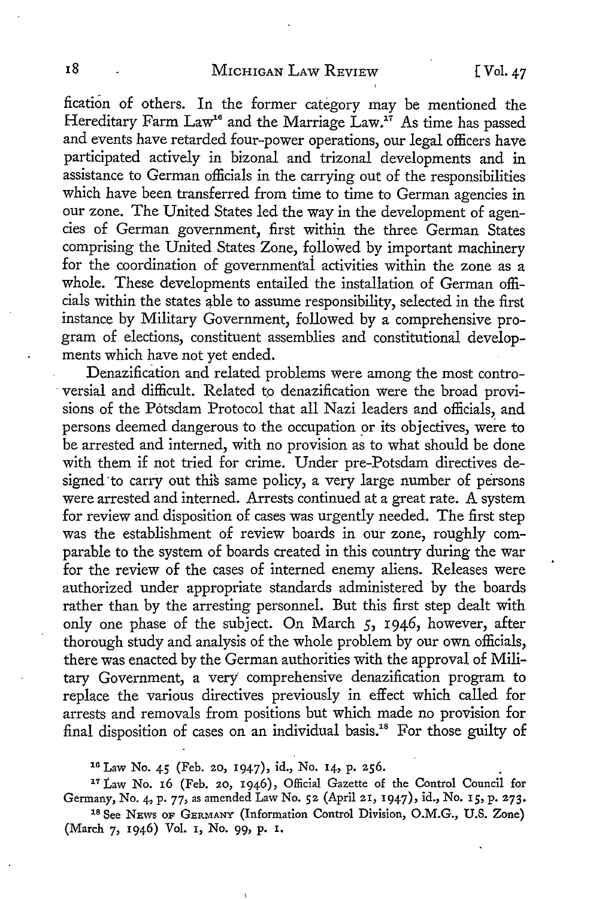fication of others. In the former category may be mentioned the Hereditary Farm  $Law<sup>16</sup>$  and the Marriage  $Law<sup>17</sup>$ . As time has passed and events have retarded four-power operations, our legal officers have participated actively in bizonal and trizonal developments and in assistance to German officials in the carrying out of the responsibilities which have been transferred from time to time to German agencies in our zone. The United States led the way in the development of agencies of German government, first within the three German States comprising the United States Zone, followed by important machinery for the coordination of governmentai activities within the zone as a whole. These developments entailed the installation of German officials within the states able to assume responsibility, selected in the first instance by Military Government, followed by a comprehensive program of elections, constituent assemblies and constitutional developments which have not yet ended.

Denazification and related problems were among the most controversial and difficult. Related to denazification were the broad provisions of the Potsdam Protocol that all Nazi leaders and officials, and persons deemed dangerous to the occupation \_or its objectives, were to be arrested and interned, with no provision as to what should be done with them if not tried for crime. Under pre-Potsdam directives designed to carry out this same policy, a very large number of persons were arrested and interned. Arrests continued at a great rate. A system for review and disposition of cases was urgently needed. The first step was the establishment of review boards in our zone, roughly comparable to the system of boards created in this country during the war for the review of the cases of interned enemy aliens. Releases were authorized under appropriate standards administered by the boards rather than by the arresting personnel. But this first step dealt with only one phase of the subject. On March *5,* 1946, however, after thorough study and analysis of the whole problem by our own officials, there was enacted by the German authorities with the approval of Military Government, a very comprehensive denazification program to replace the various directives previously in effect which called for arrests and removals from positions but which made no provision for final disposition of cases on an individual basis.<sup>18</sup> For those guilty of

<sup>16</sup> Law No. 45 (Feb. 20, 1947), id., No. 14, p. 256.<br><sup>17</sup> Law No. 16 (Feb. 20, 1946), Official Gazette of the Control Council for Germany, No. 4, p. 77, as amended Law No. 52 (April 21, 1947), id., No. 15, p. 273.<br><sup>18</sup> See NEWS OF GERMANY (Information Control Division, O.M.G., U.S. Zone)

(March 7, 1946) Vol. 1, No. 99, p. 1.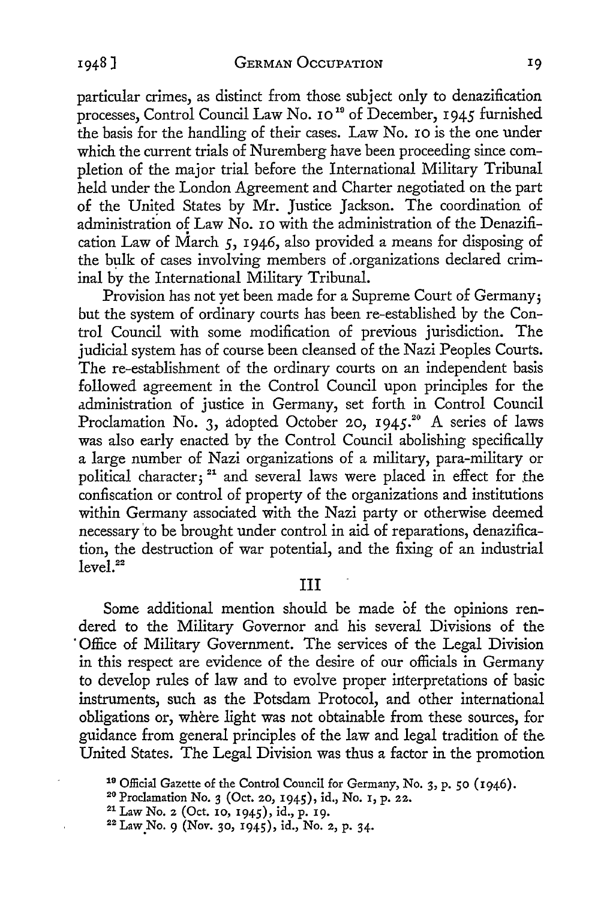particular crimes, as distinct from those subject only to denazification processes, Control Council Law No. 10 10 of December, 1945 furnished the basis for the handling of their cases. Law No. IO is the one under which the current trials of Nuremberg have been proceeding since completion of the major trial before the International Military Tribunal held under the London Agreement and Charter negotiated on the part of the United States by Mr. Justice Jackson. The coordination of administration of Law No. 10 with the administration of the Denazification Law of March *5,* 1946, also provided a means for disposing of the bulk of cases involving members of organizations declared criminal by the International Military Tribunal.

Provision has not yet been made for a Supreme Court of Germany; but the system of ordinary courts has been re-established by the Control Council with some modification of previous jurisdiction. The judicial system has of course been cleansed of the Nazi Peoples Courts. The re-establishment of the ordinary courts on an independent basis followed agreement in the Control Council upon principles for the administration of justice in Germany, set forth in Control Council Proclamation No. 3, adopted October 20, 1945.<sup>20</sup> A series of laws was also early enacted by the Control Council abolishing specifically a large number of Nazi organizations of a military, para-military or political character;<sup>21</sup> and several laws were placed in effect for the confiscation or control of property of the organizations and institutions within Germany associated with the Nazi party or otherwise deemed necessary 'to be brought under control in aid of reparations, denazification, the destruction of war potential, and the fixing of an industrial  $level<sup>22</sup>$ 

#### III

Some additional mention should be made of the opinions rendered to the Military Governor and his several Divisions of the · Office of Military Government. The services of the Legal Division in this respect are evidence of the desire of our officials in Germany to develop rules of law and to evolve proper interpretations of basic instruments, such as the Potsdam Protocol, and other international obligations or, where light was not obtainable from these sources, for guidance from general principles of the law and legal tradition of the United States. The Legal Division was thus a factor in the promotion

<sup>&</sup>lt;sup>19</sup> Official Gazette of the Control Council for Germany, No. 3, p. 50 (1946).<br><sup>20</sup> Proclamation No. 3 (Oct. 20, 1945), id., No. 1, p. 22.<br><sup>21</sup> Law No. 2 (Oct. 10, 1945), id., p. 19.<br><sup>22</sup> Law No. 9 (Nov. 30, 1945), id., N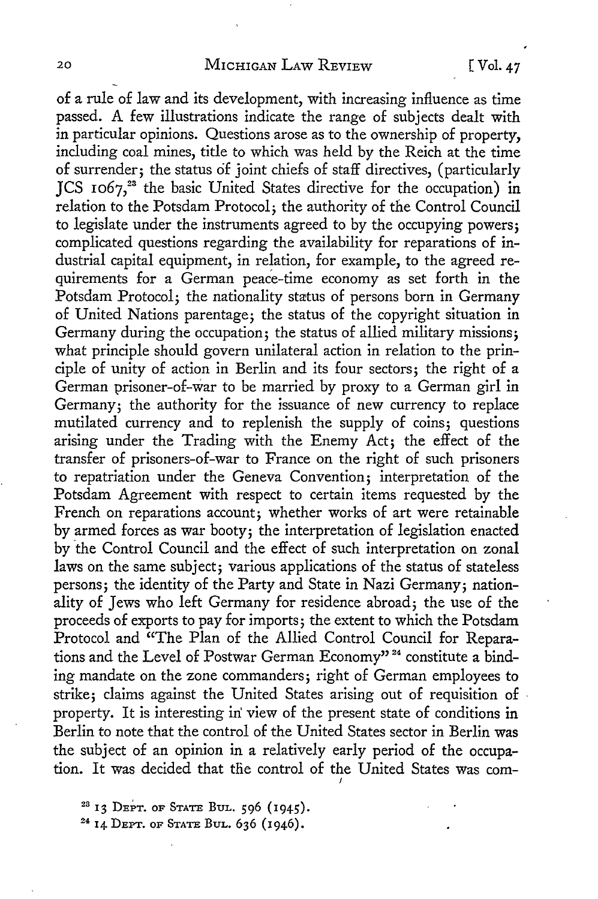### 20 MICHIGAN LAW REVIEW

of a rule of law and its development, with increasing influence as time passed. A few illustrations indicate the range of subjects dealt with in particular opinions. Questions arose as to the ownership of property, including coal mines, title to which was held by the Reich at the time of surrender; the status of joint chiefs of staff directives, (particularly JCS 1067,<sup>23</sup> the basic United States directive for the occupation) in relation to the Potsdam Protocol; the authority of the Control Council to legislate under the instruments agreed to by the occupying powers; complicated questions regarding the availability for reparations of industrial capital equipment, in relation, for example, to the agreed requirements for a German peace-time economy as set forth in the Potsdam Protocol; the nationality status of persons born in Germany of United Nations parentage; the status of the copyright situation in Germany during the occupation; the status of allied military missions; what principle should govern unilateral action in relation to the principle of unity of action in Berlin and its four sectors; the right of a German prisoner-of-war to be married by proxy to a German girl in Germany; the authority for the issuance of new currency to replace mutilated currency and to replenish the supply of coins; questions arising under the Trading with the Enemy Act; the effect of the transfer of prisoners-of-war to France on the right of such prisoners to repatriation under the Geneva Convention; interpretation of the Potsdam Agreement with respect to certain items requested by the French on reparations account; whether works of art were retainable by armed forces as war booty; the interpretation of legislation enacted by the Control Council and the effect of such interpretation on zonal laws on the same subject; various applications of the status of stateless persons; the identity of the Party and State in Nazi Germany; nationality of Jews who left Germany for residence abroad; the use of the proceeds of exports to pay for imports; the extent to which the Potsdam Protocol and "The Plan of the Allied Control Council for Reparations and the Level of Postwar German Economy"<sup>24</sup> constitute a binding mandate on the zone commanders; right of German employees to strike; claims against the United States arising out of requisition of . property. It is interesting in view of the present state of conditions in Berlin to note that the control of the United States sector in Berlin was the subject of an opinion in a relatively early period of the occupation. It was decided that the control of the United States was com- $^{\prime}$ 

<sup>23</sup> 13 DEPT. OF STATE BUL. 596 (1945).<br><sup>24</sup> 14 DEPT. OF STATE BUL. 636 (1946).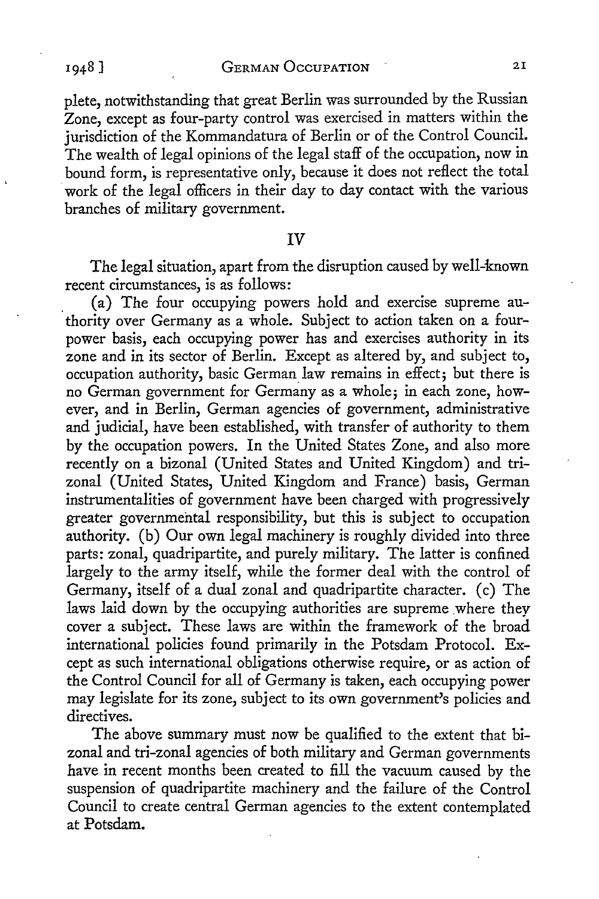plete, notwithstanding that great Berlin was surrounded by the Russian Zone, except as four-party control was exercised in matters within the jurisdiction of the Kommandatura of Berlin or of the Control Council. The wealth of legal opinions of the legal staff of the occupation, now in bound form, is representative only, because it does not reflect the total work of the legal officers in their day to day contact with the various branches of military government.

#### *IV*

The legal situation, apart from the disruption caused by well-known recent circumstances, is as follows:

(a) The four occupying powers hold and exercise supreme authority over Germany as a whole. Subject to action taken on a fourpower basis, each occupying power has and exercises authority in its zone and in its sector of Berlin. Except as altered by, and subject to, occupation authority, basic German law remains in effect; but there is no German government for Germany as a whole; in each zone, however, and in Berlin, German agencies of government, administrative and judicial, have been established, with transfer of authority to them by the occupation powers. In the United States Zone, and also more recently on a bizonal (United States and United Kingdom) and trizonal (United States, United Kingdom and France) basis, German instrumentalities of government have been charged with progressively greater governmental responsibility, but this is subject to occupation authority. (b) Our own legal machinery is roughly divided into three parts: zonal, quadripartite, and purely military. The latter is confined largely to the army itself, while the former deal with the control of Germany, itself of a dual zonal and quadripartite character. ( c) The laws laid down by the occupying authorities are supreme where they cover a subject. These laws are within the framework of the broad international policies found primarily in the Potsdam Protocol. Except as such international obligations otherwise require, or as action of the Control Council for all of Germany is taken, each occupying power may legislate for its zone, subject to its own government's policies and directives.

The above summary must now be qualified to the extent that bizonal and tri-zonal agencies of both military and German governments have in recent months been created to fill the vacuum caused by the suspension of quadripartite machinery and the failure of the Control Council to create central German agencies to the extent contemplated at Potsdam.